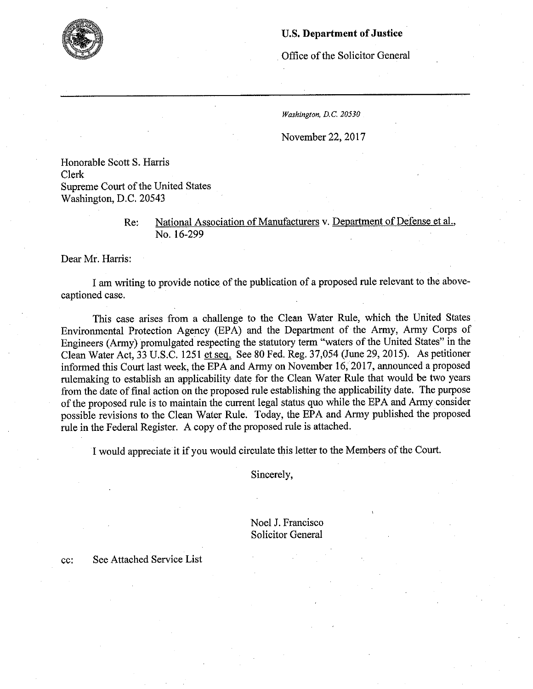# **U.S. Department of Justice**

Office of the Solicitor General

Washington, D.C. 20530

November 22, 2017

Honorable Scott S. Harris Clerk Supreme Court of the United States Washington, D.C. 20543

# Re:

National Association of Manufacturers v. Department of Defense et al., No. 16-299

Dear Mr. Harris:

I am writing to provide notice of the publication of a proposed rule relevant to the abovecaptioned case.

This case arises from a challenge to the Clean Water Rule, which the United States Environmental Protection Agency (EPA) and the Department of the Army, Army Corps of Engineers (Army) promulgated respecting the statutory term "waters of the United States" in the Clean Water Act, 33 U.S.C. 1251 et seq. See 80 Fed. Reg. 37,054 (June 29, 2015). As petitioner informed this Court last week, the EPA and Army on November 16, 2017, announced a proposed rulemaking to establish an applicability date for the Clean Water Rule that would be two years from the date of final action on the proposed rule establishing the applicability date. The purpose of the proposed rule is to maintain the current legal status quo while the EPA and Army consider possible revisions to the Clean Water Rule. Today, the EPA and Army published the proposed rule in the Federal Register. A copy of the proposed rule is attached.

I would appreciate it if you would circulate this letter to the Members of the Court.

Sincerely,

Noel J. Francisco **Solicitor General** 

# See Attached Service List

cc: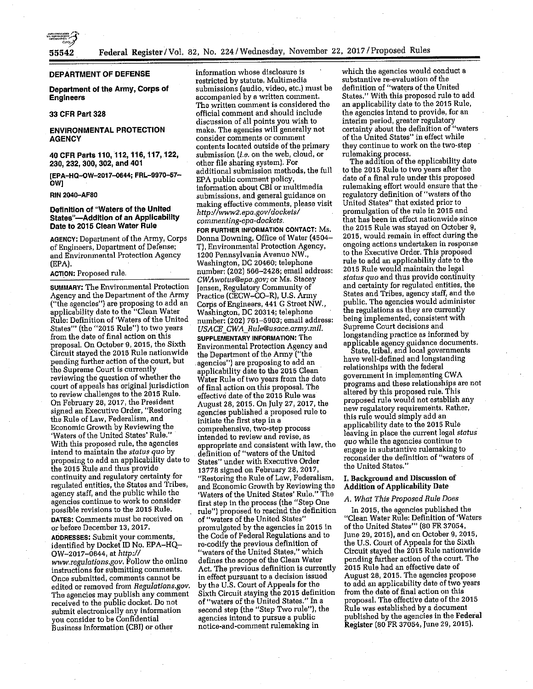55542

information whose disclosure is

#### **DEPARTMENT OF DEFENSE**

Department of the Army, Corps of **Engineers** 

### 33 CFR Part 328

## **ENVIRONMENTAL PROTECTION AGENCY**

40 CFR Parts 110, 112, 116, 117, 122, 230, 232, 300, 302, and 401

[EPA-HQ-OW-2017-0644; FRL-9970-57-**OWI** 

#### RIN 2040-AF80

#### Definition of "Waters of the United **States"-Addition of an Applicability** Date to 2015 Clean Water Rule

AGENCY: Department of the Army, Corps of Engineers, Department of Defense; and Environmental Protection Agency  $EPA$ ).

#### ACTION: Proposed rule.

**SUMMARY:** The Environmental Protection Agency and the Department of the Army ("the agencies") are proposing to add an applicability date to the "Clean Water Rule: Definition of 'Waters of the United States"" (the "2015 Rule") to two years from the date of final action on this proposal. On October 9, 2015, the Sixth Circuit stayed the 2015 Rule nationwide pending further action of the court, but the Supreme Court is currently reviewing the question of whether the court of appeals has original jurisdiction to review challenges to the 2015 Rule. On February 28, 2017, the President signed an Executive Order, "Restoring the Rule of Law, Federalism, and **Economic Growth by Reviewing the** 'Waters of the United States' Rule." With this proposed rule, the agencies intend to maintain the status quo by proposing to add an applicability date to the 2015 Rule and thus provide continuity and regulatory certainty for regulated entities, the States and Tribes, agency staff, and the public while the agencies continue to work to consider possible revisions to the 2015 Rule. DATES: Comments must be received on or before December 13, 2017.

ADDRESSES: Submit your comments, identified by Docket ID No. EPA-HQ- $OW-2017-0644$ , at  $http://$ www.regulations.gov. Follow the online instructions for submitting comments. Once submitted, comments cannot be edited or removed from Regulations.gov. The agencies may publish any comment received to the public docket. Do not submit electronically any information you consider to be Confidential Business Information (CBI) or other

restricted by statute. Multimedia submissions (audio, video, etc.) must be accompanied by a written comment. The written comment is considered the official comment and should include discussion of all points you wish to make. The agencies will generally not consider comments or comment contents located outside of the primary submission (*i.e.* on the web, cloud, or other file sharing system). For additional submission methods, the full EPA public comment policy, information about CBI or multimedia submissions, and general guidance on making effective comments, please visit http://www2.epa.gov/dockets/ commenting-epa-dockets. FOR FURTHER INFORMATION CONTACT: Ms. Donna Downing, Office of Water (4504-T), Environmental Protection Agency, 1200 Pennsylvania Avenue NW., Washington, DC 20460; telephone number; (202) 566-2428; email address: CWAwotus@epa.gov; or Ms. Stacey Jensen, Regulatory Community of Practice (CECW-CO-R), U.S. Army Corps of Engineers, 441 G Street NW., Washington, DC 20314; telephone number: (202) 761-5903; email address: USACE CWA Rule@usace.army.mil. SUPPLEMENTARY INFORMATION: The **Environmental Protection Agency and** the Department of the Army ("the agencies") are proposing to add an applicability date to the 2015 Clean Water Rule of two years from the date of final action on this proposal. The effective date of the 2015 Rule was August 28, 2015. On July 27, 2017, the agencies published a proposed rule to initiate the first step in a comprehensive, two-step process intended to review and revise, as appropriate and consistent with law, the definition of "waters of the United States" under with Executive Order 13778 signed on February 28, 2017 "Restoring the Rule of Law, Federalism, and Economic Growth by Reviewing the 'Waters of the United States' Rule." The first step in the process (the "Step One rule") proposed to rescind the definition of "waters of the United States" promulgated by the agencies in 2015 in the Code of Federal Regulations and to re-codify the previous definition of 'waters of the United States," which defines the scope of the Clean Water Act. The previous definition is currently in effect pursuant to a decision issued by the U.S. Court of Appeals for the Sixth Circuit staying the 2015 definition of "waters of the United States." In a second step (the "Step Two rule"), the agencies intend to pursue a public notice-and-comment rulemaking in

which the agencies would conduct a substantive re-evaluation of the definition of "waters of the United States." With this proposed rule to add an applicability date to the 2015 Rule, the agencies intend to provide, for an interim period, greater regulatory certainty about the definition of "waters of the United States" in effect while they continue to work on the two-step

rulemaking process.<br>The addition of the applicability date to the 2015 Rule to two years after the date of a final rule under this proposed rulemaking effort would ensure that the regulatory definition of "waters of the United States" that existed prior to promulgation of the rule in 2015 and that has been in effect nationwide since the 2015 Rule was stayed on October 9, 2015, would remain in effect during the ongoing actions undertaken in response to the Executive Order. This proposed rule to add an applicability date to the 2015 Rule would maintain the legal status quo and thus provide continuity and certainty for regulated entities, the States and Tribes, agency staff, and the public. The agencies would administer the regulations as they are currently being implemented, consistent with Supreme Court decisions and longstanding practice as informed by applicable agency guidance documents.<br>State, tribal, and local governments

have well-defined and longstanding relationships with the federal government in implementing CWA programs and these relationships are not altered by this proposed rule. This proposed rule would not establish any new regulatory requirements. Rather, this rule would simply add an applicability date to the 2015 Rule leaving in place the current legal status quo while the agencies continue to engage in substantive rulemaking to reconsider the definition of "waters of the United States.'

#### **I. Background and Discussion of Addition of Applicability Date**

#### A. What This Proposed Rule Does

In 2015, the agencies published the "Clean Water Rule: Definition of Waters of the United States" (80 FR 37054, June 29, 2015), and on October 9, 2015. the U.S. Court of Appeals for the Sixth Circuit stayed the 2015 Rule nationwide pending further action of the court. The 2015 Rule had an effective date of August 28, 2015. The agencies propose to add an applicability date of two years from the date of final action on this proposal. The effective date of the 2015 Rule was established by a document published by the agencies in the Federal .<br>Register (80 FR 37054, June 29, 2015).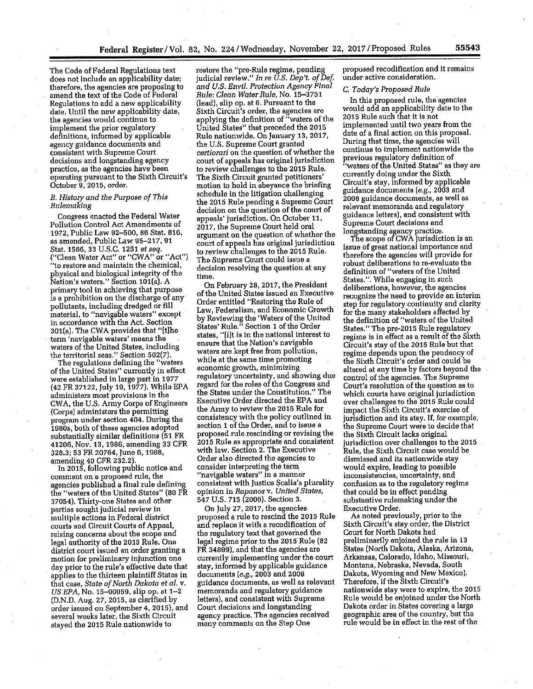The Code of Federal Regulations text does not include an applicability date; therefore, the agencies are proposing to amend the text of the Code of Federal Regulations to add a new applicability date. Until the new applicability date, the agencies would continue to implement the prior regulatory definitions, informed by applicable agency guidance documents and consistent with Supreme Court decisions and longstanding agency practice, as the agencies have been operating pursuant to the Sixth Circuit's October 9, 2015, order.

#### B. History and the Purpose of This Rulemaking

Congress enacted the Federal Water Pollution Control Act Amendments of 1972, Public Law 92-500, 86 Stat. 816, as amended, Public Law 95-217, 91 Stat. 1566, 33 U.S.C. 1251 et seq.<br>("Clean Water Act" or "CWA" or "Act") "to restore and maintain the chemical, physical and biological integrity of the Nation's waters." Section 101(a). A primary tool in achieving that purpose is a prohibition on the discharge of any pollutants, including dredged or fill material, to "navigable waters" except in accordance with the Act. Section 301(a). The CWA provides that "[t]he term 'navigable waters' means the waters of the United States, including the territorial seas." Section 502(7).<br>The regulations defining the "waters"

of the United States" currently in effect were established in large part in 1977 (42 FR 37122, July 19, 1977). While EPA administers most provisions in the CWA, the U.S. Army Corps of Engineers (Corps) administers the permitting program under section 404. During the 1980s, both of these agencies adopted<br>substantially similar definitions (51 FR 41206, Nov. 13, 1986, amending 33 CFR 328.3; 53 FR 20764, June 6, 1988,

amending 40 CFR 232.2).<br>In 2015, following public notice and comment on a proposed rule, the agencies published a final rule defining the "waters of the United States" (80 FR 37054). Thirty-one States and other parties sought judicial review in multiple actions in Federal district courts and Circuit Courts of Appeal, raising concerns about the scope and legal authority of the 2015 Rule. One district court issued an order granting a motion for preliminary injunction one day prior to the rule's effective date that applies to the thirteen plaintiff States in that case, State of North Dakota et al. v. US EPA, No. 15-00059, slip op. at 1-2 (D.N.D. Aug. 27, 2015, as clarified by order issued on September 4, 2015), and several weeks later, the Sixth Circuit stayed the 2015 Rule nationwide to

restore the "pre-Rule regime, pending<br>judicial review." In re U.S. Dep't. of Def.<br>and U.S. Envtl. Protection Agency Final Rule: Clean Water Rule, No. 15-3751 (lead), slip op. at 6. Pursuant to the Sixth Circuit's order, the agencies are applying the definition of "waters of the United States" that preceded the 2015 Rule nationwide. On January 13, 2017, the U.S. Supreme Court granted certiorari on the question of whether the court of appeals has original jurisdiction to review challenges to the 2015 Rule. The Sixth Circuit granted petitioners' motion to hold in abeyance the briefing schedule in the litigation challenging the 2015 Rule pending a Supreme Court decision on the question of the court of appeals' jurisdiction. On October 11, 2017, the Supreme Court held oral argument on the question of whether the court of appeals has original jurisdiction to review challenges to the 2015 Rule. The Supreme Court could issue a decision resolving the question at any time.

On February 28, 2017, the President of the United States issued an Executive Order entitled "Restoring the Rule of Law, Federalism, and Economic Growth by Reviewing the 'Waters of the United<br>States' Rule." Section 1 of the Order states, "[i]t is in the national interest to ensure that the Nation's navigable waters are kept free from pollution, while at the same time promoting economic growth, minimizing regulatory uncertainty, and showing due regard for the roles of the Congress and the States under the Constitution." The Executive Order directed the EPA and the Army to review the 2015 Rule for consistency with the policy outlined in section 1 of the Order, and to issue a proposed rule rescinding or revising the 2015 Rule as appropriate and consistent<br>with law. Section 2. The Executive Order also directed the agencies to consider interpreting the term "navigable waters" in a manner consistent with Justice Scalia's plurality opinion in Rapanos v. United States, 547 U.S. 715 (2006). Section 3.

On July 27, 2017, the agencies proposed a rule to rescind the 2015 Rule and replace it with a recodification of the regulatory text that governed the legal regime prior to the 2015 Rule (82 FR 34899), and that the agencies are currently implementing under the court stay, informed by applicable guidance documents  $(e.g., 2003$  and  $2008$ guidance documents, as well as relevant memoranda and regulatory guidance letters), and consistent with Supreme Court decisions and longstanding agency practice. The agencies received many comments on the Step One

proposed recodification and it remains under active consideration.

#### C. Today's Proposed Rule

In this proposed rule, the agencies would add an applicability date to the 2015 Rule such that it is not implemented until two years from the date of a final action on this proposal. During that time, the agencies will continue to implement nationwide the previous regulatory definition of waters of the United States" as they are currently doing under the Sixth Circuit's stay, informed by applicable guidance documents (e.g., 2003 and 2008 guidance documents, as well as relevant memoranda and regulatory guidance letters), and consistent with Supreme Court decisions and

longstanding agency practice.<br>The scope of CWA jurisdiction is an issue of great national importance and therefore the agencies will provide for robust deliberations to re-evaluate the definition of "waters of the United<br>States.". While engaging in such deliberations, however, the agencies recognize the need to provide an interim step for regulatory continuity and clarity for the many stakeholders affected by the definition of "waters of the United States." The pre-2015 Rule regulatory regime is in effect as a result of the Sixth Circuit's stay of the 2015 Rule but that regime depends upon the pendency of the Sixth Circuit's order and could be altered at any time by factors beyond the control of the agencies. The Supreme Court's resolution of the question as to which courts have original jurisdiction over challenges to the 2015 Rule could impact the Sixth Circuit's exercise of jurisdiction and its stay. If, for example, the Supreme Court were to decide that the Sixth Circuit lacks original jurisdiction over challenges to the 2015 Rule, the Sixth Circuit case would be dismissed and its nationwide stay would expire, leading to possible inconsistencies, uncertainty, and confusion as to the regulatory regime that could be in effect pending substantive rulemaking under the **Executive Order.** 

As noted previously, prior to the Sixth Circuit's stay order, the District Court for North Dakota had preliminarily enjoined the rule in 13 States (North Dakota, Alaska, Arizona, Arkansas, Colorado, Idaho, Missouri, Montana, Nebraska, Nevada, South Dakota, Wyoming and New Mexico). Therefore, if the Sixth Circuit's nationwide stay were to expire, the 2015 Rule would be enjoined under the North Dakota order in States covering a large geographic area of the country, but the rule would be in effect in the rest of the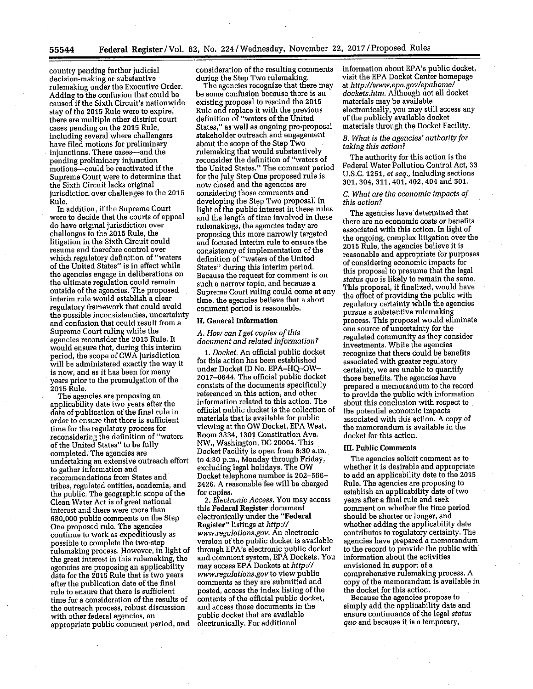country pending further judicial decision-making or substantive rulemaking under the Executive Order. Adding to the confusion that could be caused if the Sixth Circuit's nationwide stay of the 2015 Rule were to expire, there are multiple other district court cases pending on the 2015 Rule, including several where challengers have filed motions for preliminary injunctions. These cases-and the pending preliminary injunction motions-could be reactivated if the Supreme Court were to determine that the Sixth Circuit lacks original jurisdiction over challenges to the 2015 Rule.

In addition, if the Supreme Court were to decide that the courts of appeal do have original jurisdiction over challenges to the 2015 Rule, the litigation in the Sixth Circuit could resume and therefore control over which regulatory definition of "waters of the United States" is in effect while<br>the agencies engage in deliberations on the ultimate regulation could remain outside of the agencies. The proposed interim rule would establish a clear regulatory framework that could avoid the possible inconsistencies, uncertainty and confusion that could result from a Supreme Court ruling while the agencies reconsider the 2015 Rule. It would ensure that, during this interim period, the scope of CWA jurisdiction will be administered exactly the way it is now, and as it has been for many years prior to the promulgation of the 2015 Rule.

The agencies are proposing an applicability date two years after the date of publication of the final rule in order to ensure that there is sufficient time for the regulatory process for reconsidering the definition of "waters<br>of the United States" to be fully completed. The agencies are undertaking an extensive outreach effort to gather information and recommendations from States and tribes, regulated entities, academia, and the public. The geographic scope of the Clean Water Act is of great national interest and there were more than 680,000 public comments on the Step One proposed rule. The agencies continue to work as expeditiously as possible to complete the two-step rulemaking process. However, in light of the great interest in this rulemaking, the agencies are proposing an applicability date for the 2015 Rule that is two years after the publication date of the final rule to ensure that there is sufficient time for a consideration of the results of the outreach process, robust discussion with other federal agencies, an appropriate public comment period, and

consideration of the resulting comments during the Step Two rulemaking.

The agencies recognize that there may be some confusion because there is an existing proposal to rescind the 2015 Rule and replace it with the previous definition of "waters of the United States," as well as ongoing pre-proposal stakeholder outreach and engagement about the scope of the Step Two rulemaking that would substantively reconsider the definition of "waters of the United States." The comment period for the July Step One proposed rule is now closed and the agencies are considering those comments and developing the Step Two proposal. In light of the public interest in these rules and the length of time involved in these rulemakings, the agencies today are proposing this more narrowly targeted and focused interim rule to ensure the consistency of implementation of the definition of "waters of the United States" during this interim period. Because the request for comment is on such a narrow topic, and because a Supreme Court ruling could come at any time, the agencies believe that a short comment period is reasonable.

#### **II.** General Information

A. How can I get copies of this document and related information?

1. Docket. An official public docket for this action has been established under Docket ID No. EPA-HQ-OW-2017-0644. The official public docket consists of the documents specifically referenced in this action, and other information related to this action. The official public docket is the collection of materials that is available for public viewing at the OW Docket, EPA West, Room 3334, 1301 Constitution Ave. NW., Washington, DC 20004. This Docket Facility is open from 8:30 a.m. to 4:30 p.m., Monday through Friday, excluding legal holidays. The OW Docket telephone number is 202-566-2426. A reasonable fee will be charged for copies.

2. Electronic Access. You may access this Federal Register document electronically under the "Federal Register" listings at http:// www.regulations.gov. An electronic version of the public docket is available through EPA's electronic public docket and comment system, EPA Dockets. You may access EPA Dockets at http:// www.regulations.gov to view public comments as they are submitted and posted, access the index listing of the contents of the official public docket, and access those documents in the public docket that are available electronically. For additional

information about EPA's public docket, visit the EPA Docket Center homepage at http://www.epa.gov/epahome/ dockets.htm. Although not all docket materials may be available electronically, you may still access any of the publicly available docket materials through the Docket Facility.

#### B. What is the agencies' authority for taking this action?

The authority for this action is the Federal Water Pollution Control Act, 33 U.S.C. 1251, et seq., including sections 301, 304, 311, 401, 402, 404 and 501.

C. What are the economic impacts of this action?

The agencies have determined that there are no economic costs or benefits associated with this action. In light of the ongoing, complex litigation over the 2015 Rule, the agencies believe it is reasonable and appropriate for purposes of considering economic impacts for this proposal to presume that the legal status quo is likely to remain the same. This proposal, if finalized, would have the effect of providing the public with regulatory certainty while the agencies pursue a substantive rulemaking process. This proposal would eliminate one source of uncertainty for the regulated community as they consider investments. While the agencies recognize that there could be benefits associated with greater regulatory certainty, we are unable to quantify those benefits. The agencies have prepared a memorandum to the record to provide the public with information about this conclusion with respect to the potential economic impacts associated with this action. A copy of the memorandum is available in the docket for this action.

#### **III. Public Comments**

The agencies solicit comment as to whether it is desirable and appropriate to add an applicability date to the 2015 Rule. The agencies are proposing to establish an applicability date of two years after a final rule and seek comment on whether the time period should be shorter or longer, and whether adding the applicability date contributes to regulatory certainty. The agencies have prepared a memorandum to the record to provide the public with information about the activities envisioned in support of a comprehensive rulemaking process. A copy of the memorandum is available in the docket for this action.

Because the agencies propose to simply add the applicability date and ensure continuance of the legal status quo and because it is a temporary,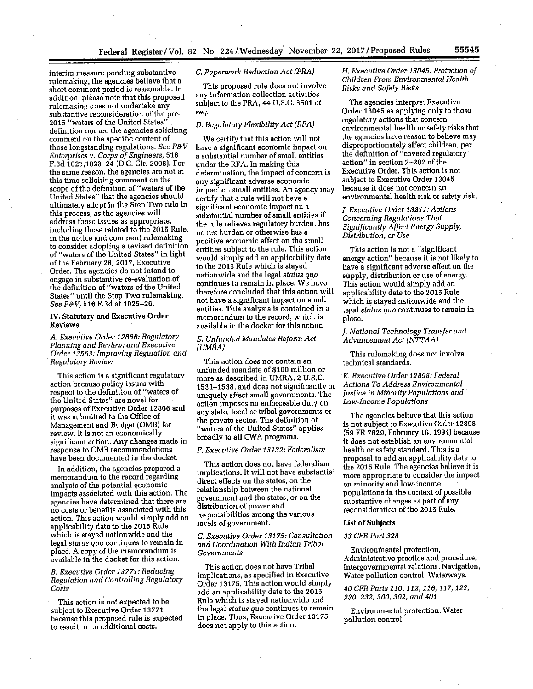interim measure pending substantive rulemaking, the agencies believe that a short comment period is reasonable. In addition, please note that this proposed rulemaking does not undertake any substantive reconsideration of the pre-2015 "waters of the United States" definition nor are the agencies soliciting comment on the specific content of those longstanding regulations. See P&V Enterprises v. Corps of Engineers, 516 F.3d 1021.1023-24 (D.C. Cir. 2008). For the same reason, the agencies are not at this time soliciting comment on the scope of the definition of "waters of the United States" that the agencies should ultimately adopt in the Step Two rule in this process, as the agencies will address those issues as appropriate, including those related to the 2015 Rule, in the notice and comment rulemaking to consider adopting a revised definition of "waters of the United States" in light of the February 28, 2017, Executive Order. The agencies do not intend to engage in substantive re-evaluation of the definition of "waters of the United States" until the Step Two rulemaking. See P&V, 516 F.3d at 1025-26.

#### IV. Statutory and Executive Order **Reviews**

A. Executive Order 12866: Regulatory Planning and Review; and Executive Order 13563: Improving Regulation and Regulatory Review

This action is a significant regulatory action because policy issues with respect to the definition of "waters of the United States" are novel for purposes of Executive Order 12866 and it was submitted to the Office of Management and Budget (OMB) for review. It is not an economically significant action. Any changes made in response to OMB recommendations have been documented in the docket.

In addition, the agencies prepared a memorandum to the record regarding analysis of the potential economic impacts associated with this action. The agencies have determined that there are no costs or benefits associated with this action. This action would simply add an applicability date to the 2015 Rule which is stayed nationwide and the legal status quo continues to remain in place. A copy of the memorandum is available in the docket for this action.

#### B. Executive Order 13771: Reducing Regulation and Controlling Regulatory Costs

This action is not expected to be subject to Executive Order 13771 because this proposed rule is expected to result in no additional costs.

#### C. Paperwork Reduction Act (PRA)

This proposed rule does not involve any information collection activities subject to the PRA, 44 U.S.C. 3501 et seo.

# D. Regulatory Flexibility Act (RFA)

We certify that this action will not have a significant economic impact on a substantial number of small entities under the RFA. In making this determination, the impact of concern is any significant adverse economic impact on small entities. An agency may certify that a rule will not have a significant economic impact on a substantial number of small entities if the rule relieves regulatory burden, has no net burden or otherwise has a positive economic effect on the small entities subject to the rule. This action would simply add an applicability date to the 2015 Rule which is stayed nationwide and the legal status quo continues to remain in place. We have therefore concluded that this action will not have a significant impact on small entities. This analysis is contained in a memorandum to the record, which is available in the docket for this action.

#### E. Unfunded Mandates Reform Act  $(UMRA)$

This action does not contain an unfunded mandate of \$100 million or more as described in UMRA, 2 U.S.C. 1531-1538, and does not significantly or uniquely affect small governments. The action imposes no enforceable duty on any state, local or tribal governments or the private sector. The definition of "waters of the United States" applies broadly to all CWA programs.

#### F. Executive Order 13132: Federalism

This action does not have federalism implications. It will not have substantial direct effects on the states, on the relationship between the national government and the states, or on the distribution of power and responsibilities among the various levels of government.

#### G. Executive Order 13175: Consultation and Coordination With Indian Tribal Governments

This action does not have Tribal implications, as specified in Executive Order 13175. This action would simply add an applicability date to the 2015 Rule which is stayed nationwide and the legal status quo continues to remain in place. Thus, Executive Order 13175 does not apply to this action.

#### H. Executive Order 13045: Protection of Children From Environmental Health **Risks and Safety Risks**

The agencies interpret Executive Order 13045 as applying only to those regulatory actions that concern environmental health or safety risks that the agencies have reason to believe may disproportionately affect children, per the definition of "covered regulatory action" in section 2-202 of the Executive Order. This action is not subject to Executive Order 13045 because it does not concern an environmental health risk or safety risk.

#### I. Executive Order 13211: Actions **Concerning Regulations That** Significantly Affect Energy Supply, Distribution, or Use

This action is not a "significant energy action" because it is not likely to have a significant adverse effect on the supply, distribution or use of energy. This action would simply add an applicability date to the 2015 Rule which is stayed nationwide and the legal status quo continues to remain in place.

#### J. National Technology Transfer and Advancement Act (NTTAA)

This rulemaking does not involve technical standards.

K. Executive Order 12898: Federal Actions To Address Environmental Justice in Minority Populations and Low-Income Populations

The agencies believe that this action is not subject to Executive Order 12898 (59 FR 7629, February 16, 1994) because it does not establish an environmental health or safety standard. This is a proposal to add an applicability date to the 2015 Rule. The agencies believe it is more appropriate to consider the impact on minority and low-income populations in the context of possible substantive changes as part of any reconsideration of the 2015 Rule.

#### **List of Subjects**

#### 33 CFR Part 328

Environmental protection, Administrative practice and procedure, Intergovernmental relations, Navigation, Water pollution control, Waterways.

#### 40 CFR Parts 110, 112, 116, 117, 122, 230, 232, 300, 302, and 401

Environmental protection, Water pollution control.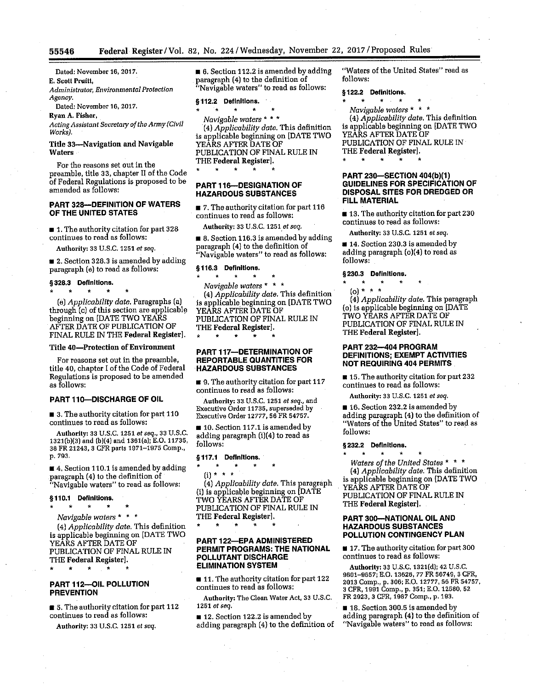55546

Dated: November 16, 2017.

E. Scott Pruitt,

Administrator, Environmental Protection Agency.

Dated: November 16, 2017.

Rvan A. Fisher,

Acting Assistant Secretary of the Army (Civil Works).

#### **Title 33-Navigation and Navigable** Waters

For the reasons set out in the preamble, title 33, chapter II of the Code of Federal Regulations is proposed to be amended as follows:

### **PART 328-DEFINITION OF WATERS** OF THE UNITED STATES

1. The authority citation for part 328 continues to read as follows:

Authority: 33 U.S.C. 1251 et seq.

2. Section 328.3 is amended by adding paragraph (e) to read as follows:

#### §328.3 Definitions.

(e) Applicability date. Paragraphs (a) through (c) of this section are applicable beginning on [DATE TWO YEARS AFTER DATE OF PUBLICATION OF FINAL RULE IN THE Federal Register].

#### **Title 40-Protection of Environment**

For reasons set out in the preamble, title 40, chapter I of the Code of Federal Regulations is proposed to be amended as follows:

#### PART 110-DISCHARGE OF OIL

3. The authority citation for part 110 continues to read as follows:

Authority: 33 U.S.C. 1251 et seq., 33 U.S.C. 1321(b)(3) and (b)(4) and 1361(a); E.O. 11735, 38 FR 21243, 3 CFR parts 1971-1975 Comp., p. 793.

 $\blacksquare$  4. Section 110.1 is amended by adding paragraph (4) to the definition of<br>"Navigable waters" to read as follows:

#### §110.1 Definitions.

Navigable waters \* \* \* (4) Applicability date. This definition is applicable beginning on [DATE TWO YEARS AFTER DATE OF PUBLICATION OF FINAL RULE IN THE Federal Register].

#### **PART 112-OIL POLLUTION PREVENTION**

 $\blacksquare$  5. The authority citation for part 112 continues to read as follows:

Authority: 33 U.S.C. 1251 et seq.

 $\blacksquare$  6. Section 112.2 is amended by adding paragraph (4) to the definition of<br>"Navigable waters" to read as follows:

#### §112.2 Definitions.

 $\star$ 

Navigable waters \* \* \* (4) Applicability date. This definition is applicable beginning on [DATE TWO YEÂRS AFTER DATE OF PUBLICATION OF FINAL RULE IN THE Federal Register].

#### PART 116-DESIGNATION OF **HAZARDOUS SUBSTANCES**

 $\blacksquare$  7. The authority citation for part 116 continues to read as follows:

Authority: 33 U.S.C. 1251 et seq.

8. Section 116.3 is amended by adding paragraph (4) to the definition of<br>"Navigable waters" to read as follows:

#### §116.3 Definitions.

Navigable waters \* \* \* (4) Applicability date. This definition is applicable beginning on [DATE TWO YEARS AFTER DATE OF PUBLICATION OF FINAL RULE IN THE Federal Register].

#### **PART 117-DETERMINATION OF REPORTABLE QUANTITIES FOR HAZARDOUS SUBSTANCES**

9. The authority citation for part 117 continues to read as follows:

Authority: 33 U.S.C. 1251 et seq., and Executive Order 11735, superseded by Executive Order 12777, 56 FR 54757.

10. Section 117.1 is amended by adding paragraph (i)(4) to read as follows:

#### §117.1 Definitions.

(i) \* \* \* (4) Applicability date. This paragraph (i) is applicable beginning on [DATE TWO YEARS AFTER DATE OF PUBLICATION OF FINAL RULE IN THE Federal Register].

#### **PART 122-EPA ADMINISTERED** PERMIT PROGRAMS: THE NATIONAL POLLUTANT DISCHARGE **ELIMINATION SYSTEM**

11. The authority citation for part 122 continues to read as follows:

Authority: The Clean Water Act, 33 U.S.C. 1251 et seq.

12. Section 122.2 is amended by adding paragraph (4) to the definition of "Waters of the United States" read as follows:

#### §122.2 Definitions.

 $\mathbf{r}$ 

Navigable waters \* \* \* (4) Applicability date. This definition

is applicable beginning on [DATE TWO] YEÂRS AFTER DATE OF PUBLICATION OF FINAL RULE IN THE Federal Register].

 $\star$ 

#### PART 230-SECTION 404(b)(1) **GUIDELINES FOR SPECIFICATION OF** DISPOSAL SITES FOR DREDGED OR **FILL MATERIAL**

■ 13. The authority citation for part 230 continues to read as follows:

Authority: 33 U.S.C. 1251 et seq.

14. Section 230.3 is amended by adding paragraph (o)(4) to read as follows:

#### §230.3 Definitions.

 $\star$  $\star$ (o) \* \* \*

(4) Applicability date. This paragraph (o) is applicable beginning on [DATE] TWO YEARS AFTER DATE OF PUBLICATION OF FINAL RULE IN THE Federal Register].

#### PART 232-404 PROGRAM DEFINITIONS; EXEMPT ACTIVITIES **NOT REQUIRING 404 PERMITS**

■ 15. The authority citation for part 232 continues to read as follows:

Authority: 33 U.S.C. 1251 et seq.

■ 16. Section 232.2 is amended by adding paragraph (4) to the definition of "Waters of the United States" to read as follows:

#### §232.2 Definitions.

Waters of the United States \* \* \* (4) Applicability date. This definition is applicable beginning on [DATE TWO YEÂRS AFTER DATE OF PUBLICATION OF FINAL RULE IN THE Federal Register].

#### PART 300-NATIONAL OIL AND **HAZARDOUS SUBSTANCES** POLLUTION CONTINGENCY PLAN

17. The authority citation for part 300 continues to read as follows:

Authority: 33 U.S.C. 1321(d); 42 U.S.C. 9601-9657; E.O. 13626, 77 FR 56749, 3 CFR, 2013 Comp., p. 306; E.O. 12777, 56 FR 54757, 3 CFR, 1991 Comp., p. 351; E.O. 12580, 52<br>FR 2923, 3 CFR, 1987 Comp., p. 193.

 $\blacksquare$  18. Section 300.5 is amended by adding paragraph (4) to the definition of "Navigable waters" to read as follows: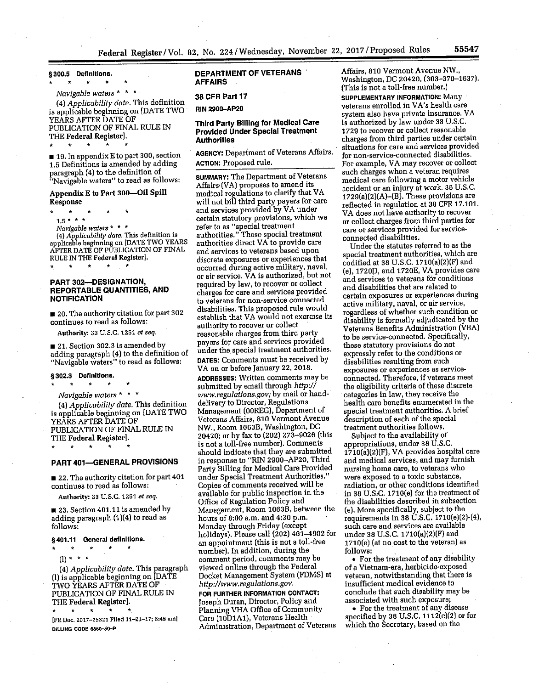Federal Register/Vol. 82, No. 224/Wednesday, November 22, 2017/Proposed Rules

§300.5 Definitions.  $\mathbf{r}$ 

Navigable waters \* \* (4) Applicability date. This definition is applicable beginning on [DATE TWO YEARS AFTER DATE OF PUBLICATION OF FINAL RULE IN THE Federal Register].

19. In appendix E to part 300, section 1.5 Definitions is amended by adding paragraph (4) to the definition of "Navigable waters" to read as follows:

**Appendix E to Part 300-Oil Spill** Response

 $1.5 * * *$ 

Navigable waters \* \* \*

(4) Applicability date. This definition is applicable beginning on [DATE TWO YEARS AFTER DATE OF PUBLICATION OF FINAL RULE IN THE Federal Register].

#### PART 302-DESIGNATION, **REPORTABLE QUANTITIES, AND NOTIFICATION**

20. The authority citation for part 302 continues to read as follows:

Authority: 33 U.S.C. 1251 et seq.

21. Section 302.3 is amended by adding paragraph (4) to the definition of<br>"Navigable waters" to read as follows:

#### §302.3 Definitions.

Navigable waters \* \* \* (4) Applicability date. This definition

is applicable beginning on (DATE TWO YEÂRS AFTER DATE OF PUBLICATION OF FINAL RULE IN THE Federal Register].  $\star$ 

#### **PART 401-GENERAL PROVISIONS**

22. The authority citation for part 401 continues to read as follows:

Authority: 33 U.S.C. 1251 et seq.

■ 23. Section 401.11 is amended by adding paragraph (1)(4) to read as follows:

#### §401.11 General definitions.

 $(1) *$ 

(4) Applicability date. This paragraph (l) is applicable beginning on [DATE TWO YEARS AFTER DATE OF PUBLICATION OF FINAL RULE IN THE Federal Register].

 $\mathbf{A}$  .  $\star$  $\mathbf{r}$ 

[FR Doc. 2017-25321 Filed 11-21-17; 8:45 am] BILLING CODE 6560-50-P

### DEPARTMENT OF VETERANS **AFFAIRS**

#### 38 CFR Part 17

**RIN 2900-AP20** 

#### **Third Party Billing for Medical Care** Provided Under Special Treatment **Authorities**

**AGENCY:** Department of Veterans Affairs. ACTION: Proposed rule.

**SUMMARY:** The Department of Veterans Affairs (VA) proposes to amend its medical regulations to clarify that VA will not bill third party payers for care and services provided by VA under certain statutory provisions, which we refer to as "special treatment<br>authorities." These special treatment<br>authorities direct VA to provide care and services to veterans based upon discrete exposures or experiences that occurred during active military, naval, or air service. VA is authorized, but not required by law, to recover or collect charges for care and services provided to veterans for non-service connected disabilities. This proposed rule would establish that VA would not exercise its authority to recover or collect reasonable charges from third party payers for care and services provided under the special treatment authorities. DATES: Comments must be received by VA on or before January 22, 2018. **ADDRESSES:** Written comments may be submitted by email through http:// www.regulations.gov; by mail or handdelivery to Director, Regulations Management (00REG), Department of Veterans Affairs, 810 Vermont Avenue NW., Room 1063B, Washington, DC 20420; or by fax to (202) 273-9026 (this is not a toll-free number). Comments should indicate that they are submitted in response to "RIN 2900-AP20, Third Party Billing for Medical Care Provided under Special Treatment Authorities." Copies of comments received will be available for public inspection in the Office of Regulation Policy and Management, Room 1063B, between the hours of 8:00 a.m. and 4:30 p.m. Monday through Friday (except holidays). Please call (202) 461-4902 for an appointment (this is not a toll-free number). In addition, during the comment period, comments may be viewed online through the Federal Docket Management System (FDMS) at http://www.regulations.gov.

FOR FURTHER INFORMATION CONTACT: Joseph Duran, Director, Policy and Planning VHA Office of Community Care (10D1A1), Veterans Health Administration, Department of Veterans

Affairs, 810 Vermont Avenue NW., Washington, DC 20420, (303-370-1637). (This is not a toll-free number.)

SUPPLEMENTARY INFORMATION: Many veterans enrolled in VA's health care system also have private insurance. VA is authorized by law under 38 U.S.C. 1729 to recover or collect reasonable charges from third parties under certain situations for care and services provided for non-service-connected disabilities. For example. VA may recover or collect such charges when a veteran requires medical care following a motor vehicle accident or an injury at work. 38 U.S.C.  $1729(a)(2)(A)$ –(B). These provisions are reflected in regulation at 38 CFR 17.101. VA does not have authority to recover or collect charges from third parties for care or services provided for serviceconnected disabilities.

Under the statutes referred to as the special treatment authorities, which are codified at 38 U.S.C. 1710(a)(2)(F) and (e), 1720D, and 1720E, VA provides care and services to veterans for conditions and disabilities that are related to certain exposures or experiences during active military, naval, or air service, regardless of whether such condition or disability is formally adjudicated by the Veterans Benefits Administration (VBA) to be service-connected. Specifically, these statutory provisions do not expressly refer to the conditions or disabilities resulting from such exposures or experiences as serviceconnected. Therefore, if veterans meet the eligibility criteria of these discrete categories in law, they receive the health care benefits enumerated in the special treatment authorities. A brief description of each of the special treatment authorities follows.

Subject to the availability of appropriations, under 38 U.S.C. 1710(a)(2)(F), VA provides hospital care and medical services, and may furnish nursing home care, to veterans who were exposed to a toxic substance, radiation, or other conditions identified in 38 U.S.C. 1710(e) for the treatment of the disabilities described in subsection (e). More specifically, subject to the requirements in 38 U.S.C. 1710(e)(2)-(4), such care and services are available under 38 U.S.C. 1710(a)(2)(F) and 1710(e) (at no cost to the veteran) as follows:

• For the treatment of any disability of a Vietnam-era, herbicide-exposed veteran, notwithstanding that there is insufficient medical evidence to conclude that such disability may be associated with such exposure;

• For the treatment of any disease specified by 38 U.S.C.  $1112(c)(2)$  or for which the Secretary, based on the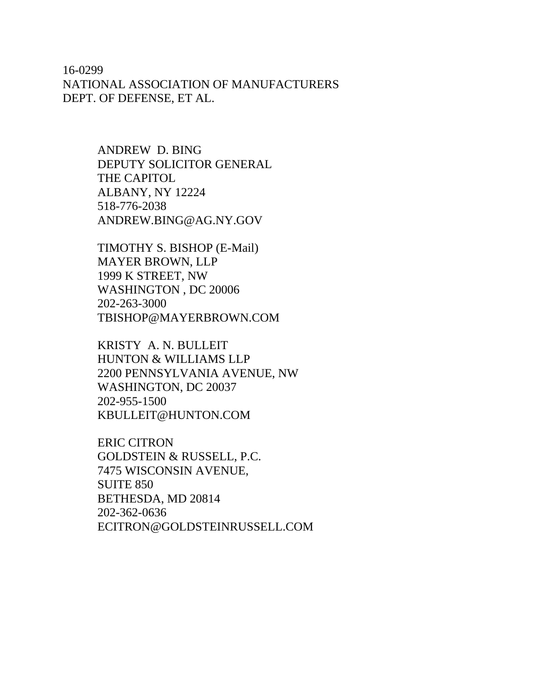16-0299 NATIONAL ASSOCIATION OF MANUFACTURERS DEPT. OF DEFENSE, ET AL.

> ANDREW D. BING DEPUTY SOLICITOR GENERAL THE CAPITOL ALBANY, NY 12224 518-776-2038 ANDREW.BING@AG.NY.GOV

TIMOTHY S. BISHOP (E-Mail) MAYER BROWN, LLP 1999 K STREET, NW WASHINGTON , DC 20006 202-263-3000 TBISHOP@MAYERBROWN.COM

KRISTY A. N. BULLEIT HUNTON & WILLIAMS LLP 2200 PENNSYLVANIA AVENUE, NW WASHINGTON, DC 20037 202-955-1500 KBULLEIT@HUNTON.COM

ERIC CITRON GOLDSTEIN & RUSSELL, P.C. 7475 WISCONSIN AVENUE, SUITE 850 BETHESDA, MD 20814 202-362-0636 ECITRON@GOLDSTEINRUSSELL.COM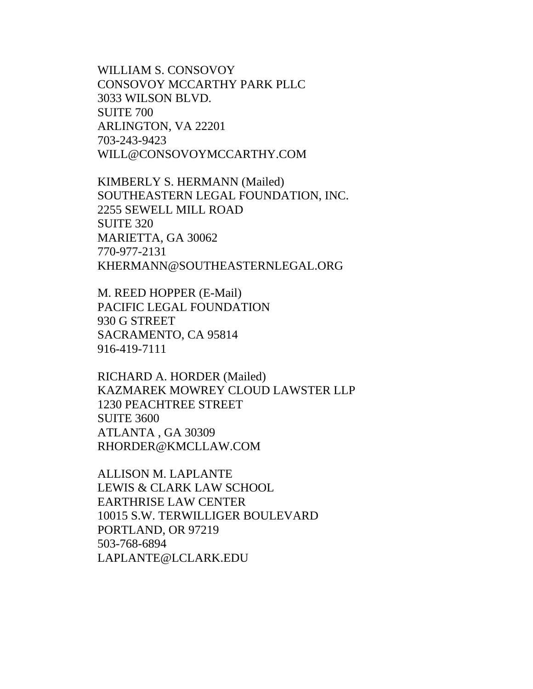WILLIAM S. CONSOVOY CONSOVOY MCCARTHY PARK PLLC 3033 WILSON BLVD. SUITE 700 ARLINGTON, VA 22201 703-243-9423 WILL@CONSOVOYMCCARTHY.COM

KIMBERLY S. HERMANN (Mailed) SOUTHEASTERN LEGAL FOUNDATION, INC. 2255 SEWELL MILL ROAD SUITE 320 MARIETTA, GA 30062 770-977-2131 KHERMANN@SOUTHEASTERNLEGAL.ORG

M. REED HOPPER (E-Mail) PACIFIC LEGAL FOUNDATION 930 G STREET SACRAMENTO, CA 95814 916-419-7111

RICHARD A. HORDER (Mailed) KAZMAREK MOWREY CLOUD LAWSTER LLP 1230 PEACHTREE STREET SUITE 3600 ATLANTA , GA 30309 RHORDER@KMCLLAW.COM

ALLISON M. LAPLANTE LEWIS & CLARK LAW SCHOOL EARTHRISE LAW CENTER 10015 S.W. TERWILLIGER BOULEVARD PORTLAND, OR 97219 503-768-6894 LAPLANTE@LCLARK.EDU